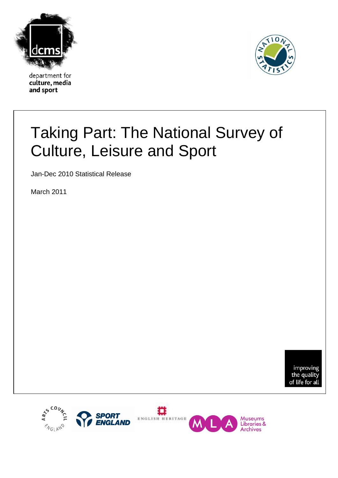

department for culture, media and sport



# Taking Part: The National Survey of Culture, Leisure and Sport

Jan-Dec 2010 Statistical Release

March 2011

improving the quality of life for all





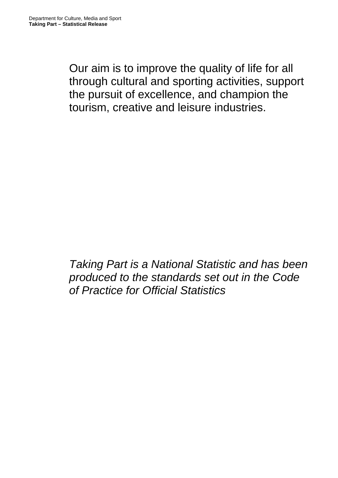Our aim is to improve the quality of life for all through cultural and sporting activities, support the pursuit of excellence, and champion the tourism, creative and leisure industries.

*Taking Part is a National Statistic and has been produced to the standards set out in the Code of Practice for Official Statistics*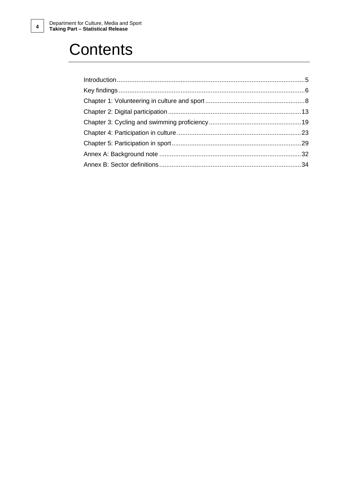# **Contents**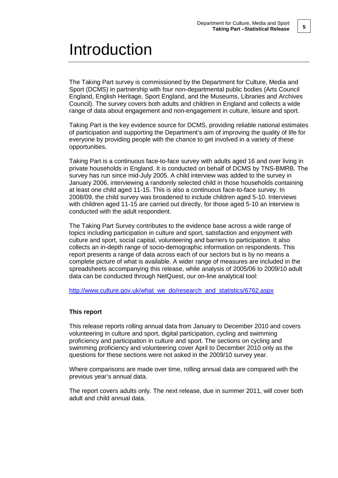The Taking Part survey is commissioned by the Department for Culture, Media and Sport (DCMS) in partnership with four non-departmental public bodies (Arts Council England, English Heritage, Sport England, and the Museums, Libraries and Archives Council). The survey covers both adults and children in England and collects a wide range of data about engagement and non-engagement in culture, leisure and sport.

Taking Part is the key evidence source for DCMS, providing reliable national estimates of participation and supporting the Department's aim of improving the quality of life for everyone by providing people with the chance to get involved in a variety of these opportunities.

Taking Part is a continuous face-to-face survey with adults aged 16 and over living in private households in England. It is conducted on behalf of DCMS by TNS-BMRB. The survey has run since mid-July 2005. A child interview was added to the survey in January 2006, interviewing a randomly selected child in those households containing at least one child aged 11-15. This is also a continuous face-to-face survey. In 2008/09, the child survey was broadened to include children aged 5-10. Interviews with children aged 11-15 are carried out directly, for those aged 5-10 an interview is conducted with the adult respondent.

The Taking Part Survey contributes to the evidence base across a wide range of topics including participation in culture and sport, satisfaction and enjoyment with culture and sport, social capital, volunteering and barriers to participation. It also collects an in-depth range of socio-demographic information on respondents. This report presents a range of data across each of our sectors but is by no means a complete picture of what is available. A wider range of measures are included in the spreadsheets accompanying this release, while analysis of 2005/06 to 2009/10 adult data can be conducted through NetQuest, our on-line analytical tool:

[http://www.culture.gov.uk/what\\_we\\_do/research\\_and\\_statistics/6762.aspx](http://www.culture.gov.uk/what_we_do/research_and_statistics/6762.aspx)

### **This report**

This release reports rolling annual data from January to December 2010 and covers volunteering in culture and sport, digital participation, cycling and swimming proficiency and participation in culture and sport. The sections on cycling and swimming proficiency and volunteering cover April to December 2010 only as the questions for these sections were not asked in the 2009/10 survey year.

Where comparisons are made over time, rolling annual data are compared with the previous year's annual data.

The report covers adults only. The next release, due in summer 2011, will cover both adult and child annual data.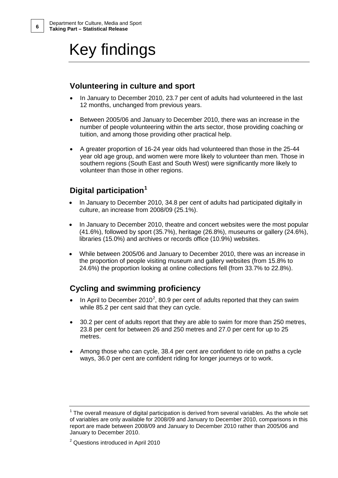# Key findings

# **Volunteering in culture and sport**

- In January to December 2010, 23.7 per cent of adults had volunteered in the last 12 months, unchanged from previous years.
- Between 2005/06 and January to December 2010, there was an increase in the number of people volunteering within the arts sector, those providing coaching or tuition, and among those providing other practical help.
- A greater proportion of 16-24 year olds had volunteered than those in the 25-44 year old age group, and women were more likely to volunteer than men. Those in southern regions (South East and South West) were significantly more likely to volunteer than those in other regions.

# **Digital participation[1](#page-5-0)**

- In January to December 2010, 34.8 per cent of adults had participated digitally in culture, an increase from 2008/09 (25.1%).
- In January to December 2010, theatre and concert websites were the most popular (41.6%), followed by sport (35.7%), heritage (26.8%), museums or gallery (24.6%), libraries (15.0%) and archives or records office (10.9%) websites.
- While between 2005/06 and January to December 2010, there was an increase in the proportion of people visiting museum and gallery websites (from 15.8% to 24.6%) the proportion looking at online collections fell (from 33.7% to 22.8%).

# **Cycling and swimming proficiency**

- In April to December [2](#page-5-1)010<sup>2</sup>, 80.9 per cent of adults reported that they can swim while 85.2 per cent said that they can cycle.
- 30.2 per cent of adults report that they are able to swim for more than 250 metres, 23.8 per cent for between 26 and 250 metres and 27.0 per cent for up to 25 metres.
- Among those who can cycle, 38.4 per cent are confident to ride on paths a cycle ways, 36.0 per cent are confident riding for longer journeys or to work.

<span id="page-5-0"></span> $1$  The overall measure of digital participation is derived from several variables. As the whole set of variables are only available for 2008/09 and January to December 2010, comparisons in this report are made between 2008/09 and January to December 2010 rather than 2005/06 and January to December 2010.

<span id="page-5-1"></span><sup>&</sup>lt;sup>2</sup> Questions introduced in April 2010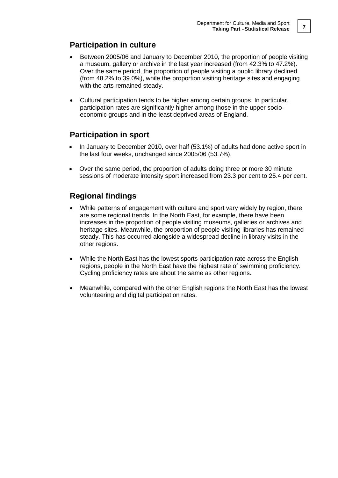# **Participation in culture**

- Between 2005/06 and January to December 2010, the proportion of people visiting a museum, gallery or archive in the last year increased (from 42.3% to 47.2%). Over the same period, the proportion of people visiting a public library declined (from 48.2% to 39.0%), while the proportion visiting heritage sites and engaging with the arts remained steady.
- Cultural participation tends to be higher among certain groups. In particular, participation rates are significantly higher among those in the upper socioeconomic groups and in the least deprived areas of England.

# **Participation in sport**

- In January to December 2010, over half (53.1%) of adults had done active sport in the last four weeks, unchanged since 2005/06 (53.7%).
- Over the same period, the proportion of adults doing three or more 30 minute sessions of moderate intensity sport increased from 23.3 per cent to 25.4 per cent.

# **Regional findings**

- While patterns of engagement with culture and sport vary widely by region, there are some regional trends. In the North East, for example, there have been increases in the proportion of people visiting museums, galleries or archives and heritage sites. Meanwhile, the proportion of people visiting libraries has remained steady. This has occurred alongside a widespread decline in library visits in the other regions.
- While the North East has the lowest sports participation rate across the English regions, people in the North East have the highest rate of swimming proficiency. Cycling proficiency rates are about the same as other regions.
- Meanwhile, compared with the other English regions the North East has the lowest volunteering and digital participation rates.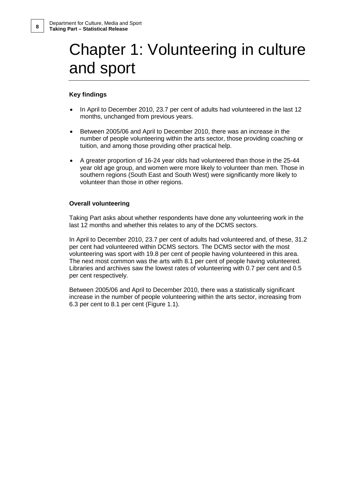# Chapter 1: Volunteering in culture and sport

## **Key findings**

- In April to December 2010, 23.7 per cent of adults had volunteered in the last 12 months, unchanged from previous years.
- Between 2005/06 and April to December 2010, there was an increase in the number of people volunteering within the arts sector, those providing coaching or tuition, and among those providing other practical help.
- A greater proportion of 16-24 year olds had volunteered than those in the 25-44 year old age group, and women were more likely to volunteer than men. Those in southern regions (South East and South West) were significantly more likely to volunteer than those in other regions.

#### **Overall volunteering**

Taking Part asks about whether respondents have done any volunteering work in the last 12 months and whether this relates to any of the DCMS sectors.

In April to December 2010, 23.7 per cent of adults had volunteered and, of these, 31.2 per cent had volunteered within DCMS sectors*.* The DCMS sector with the most volunteering was sport with 19.8 per cent of people having volunteered in this area. The next most common was the arts with 8.1 per cent of people having volunteered. Libraries and archives saw the lowest rates of volunteering with 0.7 per cent and 0.5 per cent respectively.

Between 2005/06 and April to December 2010, there was a statistically significant increase in the number of people volunteering within the arts sector, increasing from 6.3 per cent to 8.1 per cent (Figure 1.1).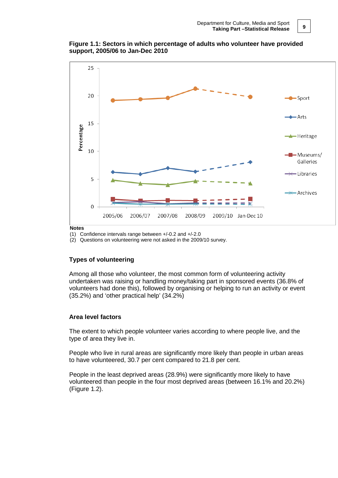



**Notes**

(1) Confidence intervals range between +/-0.2 and +/-2.0

(2) Questions on volunteering were not asked in the 2009/10 survey.

### **Types of volunteering**

Among all those who volunteer, the most common form of volunteering activity undertaken was raising or handling money/taking part in sponsored events (36.8% of volunteers had done this), followed by organising or helping to run an activity or event (35.2%) and 'other practical help' (34.2%)

### **Area level factors**

The extent to which people volunteer varies according to where people live, and the type of area they live in.

People who live in rural areas are significantly more likely than people in urban areas to have volunteered, 30.7 per cent compared to 21.8 per cent.

People in the least deprived areas (28.9%) were significantly more likely to have volunteered than people in the four most deprived areas (between 16.1% and 20.2%) (Figure 1.2).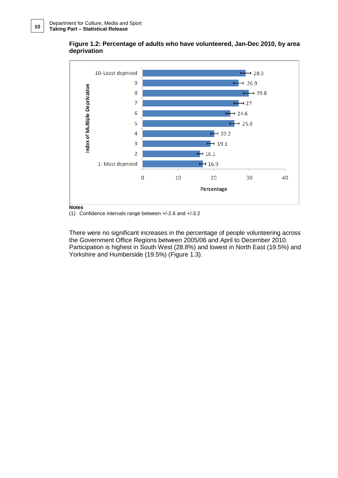



(1) Confidence intervals range between +/-2.6 and +/-3.2

There were no significant increases in the percentage of people volunteering across the Government Office Regions between 2005/06 and April to December 2010. Participation is highest in South West (28.8%) and lowest in North East (19.5%) and Yorkshire and Humberside (19.5%) (Figure 1.3).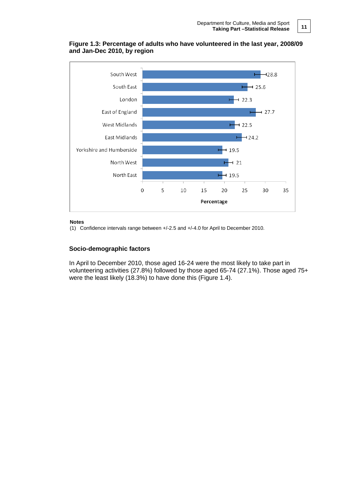

# **Figure 1.3: Percentage of adults who have volunteered in the last year, 2008/09 and Jan-Dec 2010, by region**

#### **Notes**

(1) Confidence intervals range between +/-2.5 and +/-4.0 for April to December 2010.

### **Socio-demographic factors**

In April to December 2010, those aged 16-24 were the most likely to take part in volunteering activities (27.8%) followed by those aged 65-74 (27.1%). Those aged 75+ were the least likely (18.3%) to have done this (Figure 1.4).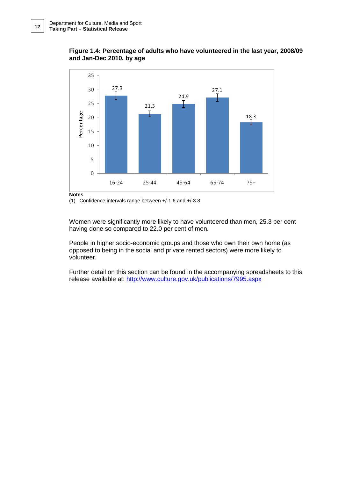**Figure 1.4: Percentage of adults who have volunteered in the last year, 2008/09 and Jan-Dec 2010, by age**



**Notes**

(1) Confidence intervals range between +/-1.6 and +/-3.8

Women were significantly more likely to have volunteered than men, 25.3 per cent having done so compared to 22.0 per cent of men.

People in higher socio-economic groups and those who own their own home (as opposed to being in the social and private rented sectors) were more likely to volunteer.

Further detail on this section can be found in the accompanying spreadsheets to this release available at: <http://www.culture.gov.uk/publications/7995.aspx>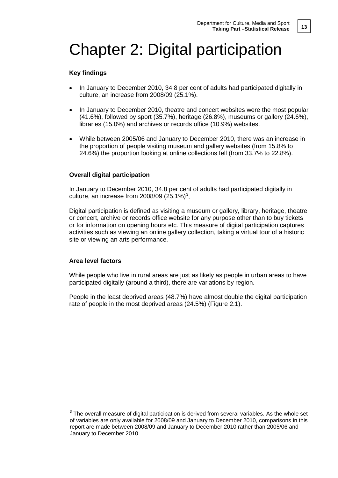# Chapter 2: Digital participation

## **Key findings**

- In January to December 2010, 34.8 per cent of adults had participated digitally in culture, an increase from 2008/09 (25.1%).
- In January to December 2010, theatre and concert websites were the most popular (41.6%), followed by sport (35.7%), heritage (26.8%), museums or gallery (24.6%), libraries (15.0%) and archives or records office (10.9%) websites.
- While between 2005/06 and January to December 2010, there was an increase in the proportion of people visiting museum and gallery websites (from 15.8% to 24.6%) the proportion looking at online collections fell (from 33.7% to 22.8%).

### **Overall digital participation**

In January to December 2010, 34.8 per cent of adults had participated digitally in culture, an increase from 2008/09  $(25.1\%)^3$  $(25.1\%)^3$ .

Digital participation is defined as visiting a museum or gallery, library, heritage, theatre or concert, archive or records office website for any purpose other than to buy tickets or for information on opening hours etc. This measure of digital participation captures activities such as viewing an online gallery collection, taking a virtual tour of a historic site or viewing an arts performance.

### **Area level factors**

While people who live in rural areas are just as likely as people in urban areas to have participated digitally (around a third), there are variations by region.

People in the least deprived areas (48.7%) have almost double the digital participation rate of people in the most deprived areas (24.5%) (Figure 2.1).

<span id="page-12-0"></span> $3$  The overall measure of digital participation is derived from several variables. As the whole set of variables are only available for 2008/09 and January to December 2010, comparisons in this report are made between 2008/09 and January to December 2010 rather than 2005/06 and January to December 2010.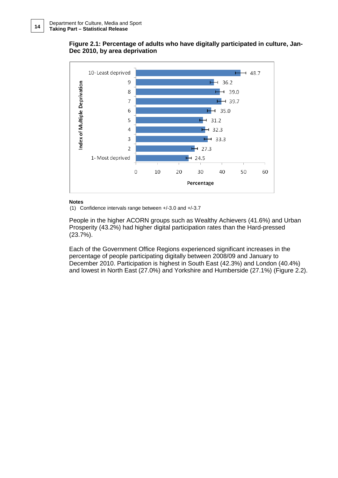



#### **Notes**

(1) Confidence intervals range between +/-3.0 and +/-3.7

People in the higher ACORN groups such as Wealthy Achievers (41.6%) and Urban Prosperity (43.2%) had higher digital participation rates than the Hard-pressed (23.7%).

Each of the Government Office Regions experienced significant increases in the percentage of people participating digitally between 2008/09 and January to December 2010. Participation is highest in South East (42.3%) and London (40.4%) and lowest in North East (27.0%) and Yorkshire and Humberside (27.1%) (Figure 2.2).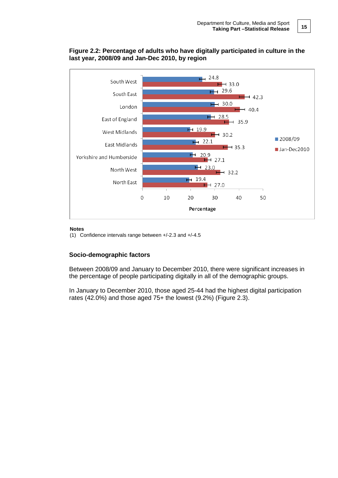

### **Figure 2.2: Percentage of adults who have digitally participated in culture in the last year, 2008/09 and Jan-Dec 2010, by region**

#### **Notes**

(1) Confidence intervals range between +/-2.3 and +/-4.5

### **Socio-demographic factors**

Between 2008/09 and January to December 2010, there were significant increases in the percentage of people participating digitally in all of the demographic groups.

In January to December 2010, those aged 25-44 had the highest digital participation rates (42.0%) and those aged 75+ the lowest (9.2%) (Figure 2.3).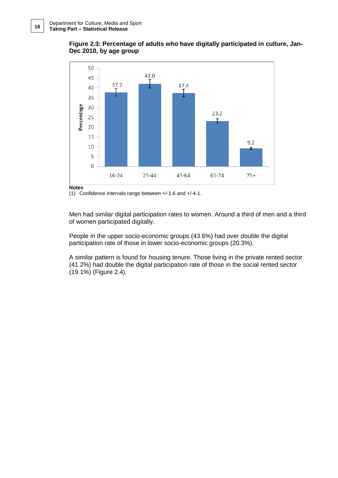



**Notes**

(1) Confidence intervals range between +/-1.6 and +/-4.1.

Men had similar digital participation rates to women. Around a third of men and a third of women participated digitally.

People in the upper socio-economic groups (43.6%) had over double the digital participation rate of those in lower socio-economic groups (20.3%).

A similar pattern is found for housing tenure. Those living in the private rented sector (41.2%) had double the digital participation rate of those in the social rented sector (19.1%) (Figure 2.4).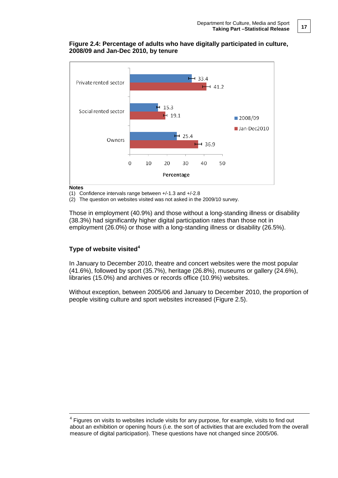## **Figure 2.4: Percentage of adults who have digitally participated in culture, 2008/09 and Jan-Dec 2010, by tenure**



#### **Notes**

(1) Confidence intervals range between +/-1.3 and +/-2.8

(2) The question on websites visited was not asked in the 2009/10 survey.

Those in employment (40.9%) and those without a long-standing illness or disability (38.3%) had significantly higher digital participation rates than those not in employment (26.0%) or those with a long-standing illness or disability (26.5%).

# **Type of website visited[4](#page-16-0)**

In January to December 2010, theatre and concert websites were the most popular (41.6%), followed by sport (35.7%), heritage (26.8%), museums or gallery (24.6%), libraries (15.0%) and archives or records office (10.9%) websites.

Without exception, between 2005/06 and January to December 2010, the proportion of people visiting culture and sport websites increased (Figure 2.5).

<span id="page-16-0"></span> $4$  Figures on visits to websites include visits for any purpose, for example, visits to find out about an exhibition or opening hours (i.e. the sort of activities that are excluded from the overall measure of digital participation). These questions have not changed since 2005/06.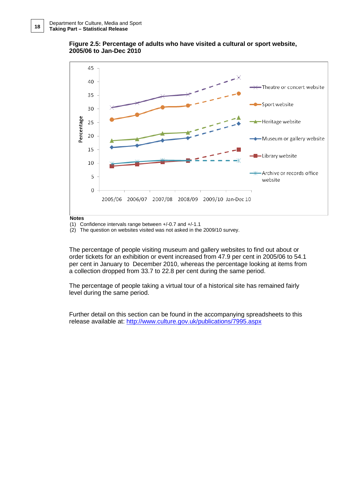



<sup>(1)</sup> Confidence intervals range between +/-0.7 and +/-1.1

(2) The question on websites visited was not asked in the 2009/10 survey.

The percentage of people visiting museum and gallery websites to find out about or order tickets for an exhibition or event increased from 47.9 per cent in 2005/06 to 54.1 per cent in January to December 2010, whereas the percentage looking at items from a collection dropped from 33.7 to 22.8 per cent during the same period.

The percentage of people taking a virtual tour of a historical site has remained fairly level during the same period.

Further detail on this section can be found in the accompanying spreadsheets to this release available at: <http://www.culture.gov.uk/publications/7995.aspx>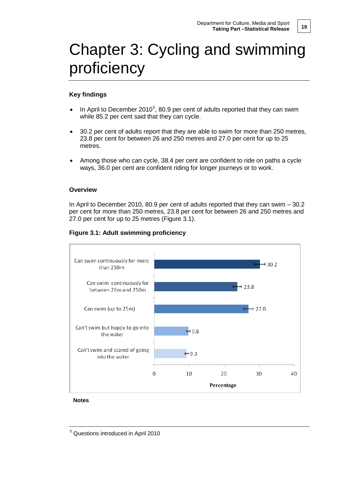# Chapter 3: Cycling and swimming proficiency

# **Key findings**

- In April to December 2010<sup>[5](#page-18-0)</sup>, 80.9 per cent of adults reported that they can swim while 85.2 per cent said that they can cycle.
- 30.2 per cent of adults report that they are able to swim for more than 250 metres, 23.8 per cent for between 26 and 250 metres and 27.0 per cent for up to 25 metres.
- Among those who can cycle, 38.4 per cent are confident to ride on paths a cycle ways, 36.0 per cent are confident riding for longer journeys or to work.

#### **Overview**

In April to December 2010, 80.9 per cent of adults reported that they can swim – 30.2 per cent for more than 250 metres, 23.8 per cent for between 26 and 250 metres and 27.0 per cent for up to 25 metres (Figure 3.1).



### **Figure 3.1: Adult swimming proficiency**

#### **Notes**

<span id="page-18-0"></span><sup>5</sup> Questions introduced in April 2010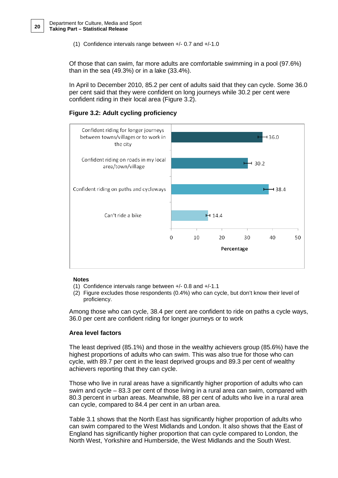(1) Confidence intervals range between +/- 0.7 and +/-1.0

Of those that can swim, far more adults are comfortable swimming in a pool (97.6%) than in the sea (49.3%) or in a lake (33.4%).

In April to December 2010, 85.2 per cent of adults said that they can cycle. Some 36.0 per cent said that they were confident on long journeys while 30.2 per cent were confident riding in their local area (Figure 3.2).

#### **Figure 3.2: Adult cycling proficiency**



#### **Notes**

- (1) Confidence intervals range between +/- 0.8 and +/-1.1
- (2) Figure excludes those respondents (0.4%) who can cycle, but don't know their level of proficiency.

Among those who can cycle, 38.4 per cent are confident to ride on paths a cycle ways, 36.0 per cent are confident riding for longer journeys or to work

#### **Area level factors**

The least deprived (85.1%) and those in the wealthy achievers group (85.6%) have the highest proportions of adults who can swim. This was also true for those who can cycle, with 89.7 per cent in the least deprived groups and 89.3 per cent of wealthy achievers reporting that they can cycle.

Those who live in rural areas have a significantly higher proportion of adults who can swim and cycle – 83.3 per cent of those living in a rural area can swim, compared with 80.3 percent in urban areas. Meanwhile, 88 per cent of adults who live in a rural area can cycle, compared to 84.4 per cent in an urban area.

Table 3.1 shows that the North East has significantly higher proportion of adults who can swim compared to the West Midlands and London. It also shows that the East of England has significantly higher proportion that can cycle compared to London, the North West, Yorkshire and Humberside, the West Midlands and the South West.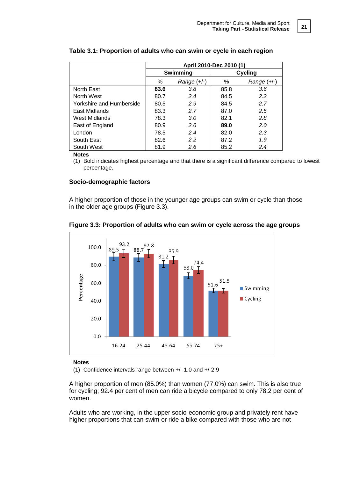|                          | April 2010-Dec 2010 (1) |               |                |               |
|--------------------------|-------------------------|---------------|----------------|---------------|
|                          | Swimming                |               | <b>Cycling</b> |               |
|                          | %                       | $Range (+/-)$ | %              | $Range (+/-)$ |
| North East               | 83.6                    | 3.8           | 85.8           | 3.6           |
| North West               | 80.7                    | 2.4           | 84.5           | 2.2           |
| Yorkshire and Humberside | 80.5                    | 2.9           | 84.5           | 2.7           |
| East Midlands            | 83.3                    | 2.7           | 87.0           | 2.5           |
| West Midlands            | 78.3                    | 3.0           | 82.1           | 2.8           |
| East of England          | 80.9                    | 2.6           | 89.0           | 2.0           |
| London                   | 78.5                    | 2.4           | 82.0           | 2.3           |
| South East               | 82.6                    | 2.2           | 87.2           | 1.9           |
| South West               | 81.9                    | 2.6           | 85.2           | 2.4           |

# **Table 3.1: Proportion of adults who can swim or cycle in each region**

#### **Notes**

(1) Bold indicates highest percentage and that there is a significant difference compared to lowest percentage.

#### **Socio-demographic factors**

A higher proportion of those in the younger age groups can swim or cycle than those in the older age groups (Figure 3.3).



#### **Figure 3.3: Proportion of adults who can swim or cycle across the age groups**

#### **Notes**

(1) Confidence intervals range between +/- 1.0 and +/-2.9

A higher proportion of men (85.0%) than women (77.0%) can swim. This is also true for cycling; 92.4 per cent of men can ride a bicycle compared to only 78.2 per cent of women.

Adults who are working, in the upper socio-economic group and privately rent have higher proportions that can swim or ride a bike compared with those who are not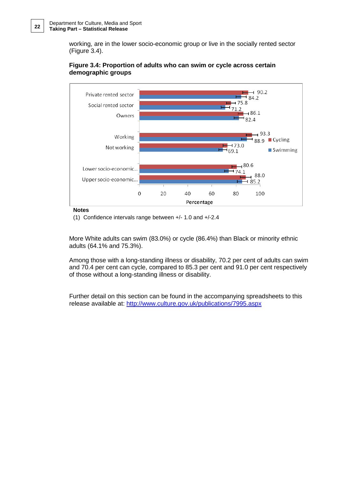working, are in the lower socio-economic group or live in the socially rented sector (Figure 3.4).



### **Figure 3.4: Proportion of adults who can swim or cycle across certain demographic groups**

#### **Notes**

(1) Confidence intervals range between +/- 1.0 and +/-2.4

More White adults can swim (83.0%) or cycle (86.4%) than Black or minority ethnic adults (64.1% and 75.3%).

Among those with a long-standing illness or disability, 70.2 per cent of adults can swim and 70.4 per cent can cycle, compared to 85.3 per cent and 91.0 per cent respectively of those without a long-standing illness or disability.

Further detail on this section can be found in the accompanying spreadsheets to this release available at: <http://www.culture.gov.uk/publications/7995.aspx>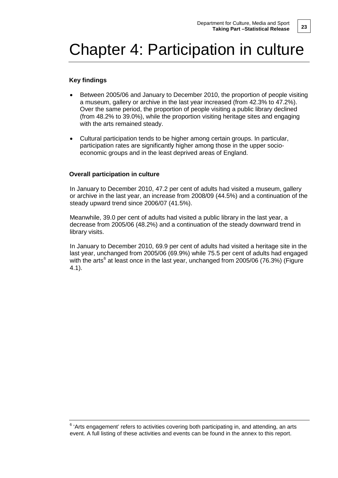# Chapter 4: Participation in culture

## **Key findings**

- Between 2005/06 and January to December 2010, the proportion of people visiting a museum, gallery or archive in the last year increased (from 42.3% to 47.2%). Over the same period, the proportion of people visiting a public library declined (from 48.2% to 39.0%), while the proportion visiting heritage sites and engaging with the arts remained steady.
- Cultural participation tends to be higher among certain groups. In particular, participation rates are significantly higher among those in the upper socioeconomic groups and in the least deprived areas of England.

### **Overall participation in culture**

In January to December 2010, 47.2 per cent of adults had visited a museum, gallery or archive in the last year, an increase from 2008/09 (44.5%) and a continuation of the steady upward trend since 2006/07 (41.5%).

Meanwhile, 39.0 per cent of adults had visited a public library in the last year, a decrease from 2005/06 (48.2%) and a continuation of the steady downward trend in library visits.

In January to December 2010, 69.9 per cent of adults had visited a heritage site in the last year, unchanged from 2005/06 (69.9%) while 75.5 per cent of adults had engaged with the arts<sup>[6](#page-22-0)</sup> at least once in the last year, unchanged from 2005/06 (76.3%) (Figure 4.1).

<span id="page-22-0"></span> $6$  'Arts engagement' refers to activities covering both participating in, and attending, an arts event. A full listing of these activities and events can be found in the annex to this report.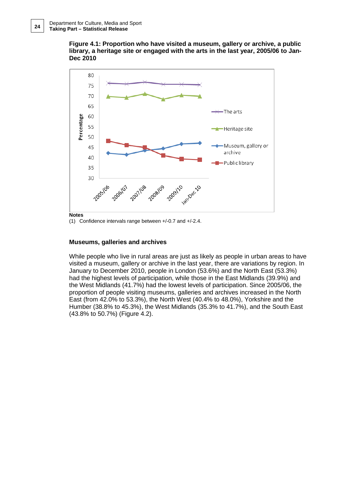**Figure 4.1: Proportion who have visited a museum, gallery or archive, a public library, a heritage site or engaged with the arts in the last year, 2005/06 to Jan-Dec 2010**



(1) Confidence intervals range between +/-0.7 and +/-2.4.

### **Museums, galleries and archives**

While people who live in rural areas are just as likely as people in urban areas to have visited a museum, gallery or archive in the last year, there are variations by region. In January to December 2010, people in London (53.6%) and the North East (53.3%) had the highest levels of participation, while those in the East Midlands (39.9%) and the West Midlands (41.7%) had the lowest levels of participation. Since 2005/06, the proportion of people visiting museums, galleries and archives increased in the North East (from 42.0% to 53.3%), the North West (40.4% to 48.0%), Yorkshire and the Humber (38.8% to 45.3%), the West Midlands (35.3% to 41.7%), and the South East (43.8% to 50.7%) (Figure 4.2).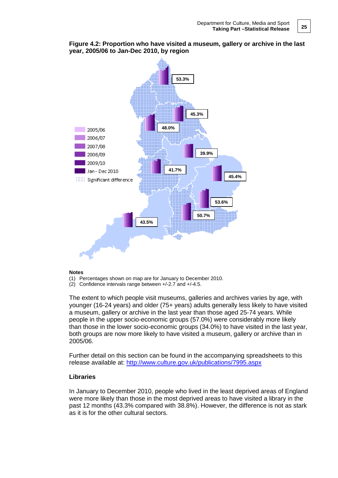

**Figure 4.2: Proportion who have visited a museum, gallery or archive in the last year, 2005/06 to Jan-Dec 2010, by region**

#### **Notes**

- (1) Percentages shown on map are for January to December 2010.
- (2) Confidence intervals range between +/-2.7 and +/-4.5.

The extent to which people visit museums, galleries and archives varies by age, with younger (16-24 years) and older (75+ years) adults generally less likely to have visited a museum, gallery or archive in the last year than those aged 25-74 years. While people in the upper socio-economic groups (57.0%) were considerably more likely than those in the lower socio-economic groups (34.0%) to have visited in the last year, both groups are now more likely to have visited a museum, gallery or archive than in 2005/06.

Further detail on this section can be found in the accompanying spreadsheets to this release available at: <http://www.culture.gov.uk/publications/7995.aspx>

#### **Libraries**

In January to December 2010, people who lived in the least deprived areas of England were more likely than those in the most deprived areas to have visited a library in the past 12 months (43.3% compared with 38.8%). However, the difference is not as stark as it is for the other cultural sectors.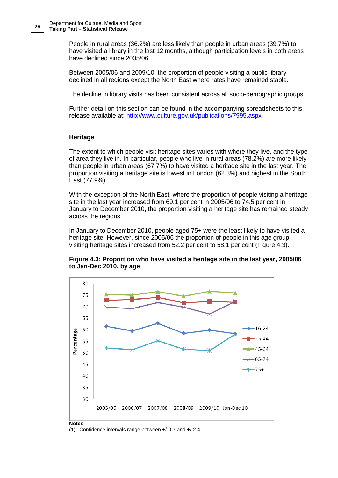People in rural areas (36.2%) are less likely than people in urban areas (39.7%) to have visited a library in the last 12 months, although participation levels in both areas have declined since 2005/06.

Between 2005/06 and 2009/10, the proportion of people visiting a public library declined in all regions except the North East where rates have remained stable.

The decline in library visits has been consistent across all socio-demographic groups.

Further detail on this section can be found in the accompanying spreadsheets to this release available at: <http://www.culture.gov.uk/publications/7995.aspx>

#### **Heritage**

The extent to which people visit heritage sites varies with where they live, and the type of area they live in. In particular, people who live in rural areas (78.2%) are more likely than people in urban areas (67.7%) to have visited a heritage site in the last year. The proportion visiting a heritage site is lowest in London (62.3%) and highest in the South East (77.9%).

With the exception of the North East, where the proportion of people visiting a heritage site in the last year increased from 69.1 per cent in 2005/06 to 74.5 per cent in January to December 2010, the proportion visiting a heritage site has remained steady across the regions.

In January to December 2010, people aged 75+ were the least likely to have visited a heritage site. However, since 2005/06 the proportion of people in this age group visiting heritage sites increased from 52.2 per cent to 58.1 per cent (Figure 4.3).



**Figure 4.3: Proportion who have visited a heritage site in the last year, 2005/06 to Jan-Dec 2010, by age**

**Notes**

(1) Confidence intervals range between +/-0.7 and +/-2.4.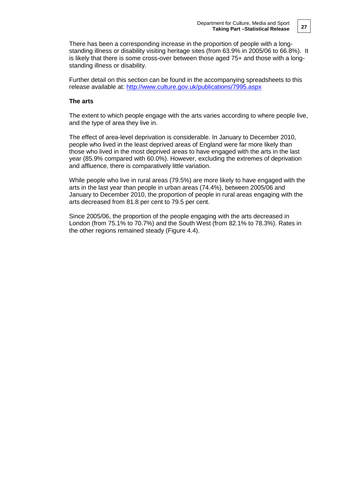There has been a corresponding increase in the proportion of people with a longstanding illness or disability visiting heritage sites (from 63.9% in 2005/06 to 66.8%). It is likely that there is some cross-over between those aged 75+ and those with a longstanding illness or disability.

Further detail on this section can be found in the accompanying spreadsheets to this release available at: <http://www.culture.gov.uk/publications/7995.aspx>

#### **The arts**

The extent to which people engage with the arts varies according to where people live, and the type of area they live in.

The effect of area-level deprivation is considerable. In January to December 2010, people who lived in the least deprived areas of England were far more likely than those who lived in the most deprived areas to have engaged with the arts in the last year (85.9% compared with 60.0%). However, excluding the extremes of deprivation and affluence, there is comparatively little variation.

While people who live in rural areas (79.5%) are more likely to have engaged with the arts in the last year than people in urban areas (74.4%), between 2005/06 and January to December 2010, the proportion of people in rural areas engaging with the arts decreased from 81.8 per cent to 79.5 per cent.

Since 2005/06, the proportion of the people engaging with the arts decreased in London (from 75.1% to 70.7%) and the South West (from 82.1% to 78.3%). Rates in the other regions remained steady (Figure 4.4).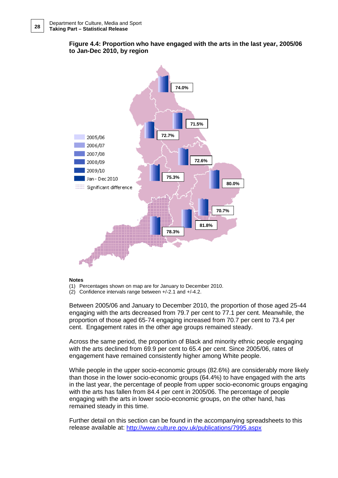



#### **Notes**

- (1) Percentages shown on map are for January to December 2010.
- (2) Confidence intervals range between +/-2.1 and +/-4.2.

Between 2005/06 and January to December 2010, the proportion of those aged 25-44 engaging with the arts decreased from 79.7 per cent to 77.1 per cent. Meanwhile, the proportion of those aged 65-74 engaging increased from 70.7 per cent to 73.4 per cent. Engagement rates in the other age groups remained steady.

Across the same period, the proportion of Black and minority ethnic people engaging with the arts declined from 69.9 per cent to 65.4 per cent. Since 2005/06, rates of engagement have remained consistently higher among White people.

While people in the upper socio-economic groups (82.6%) are considerably more likely than those in the lower socio-economic groups (64.4%) to have engaged with the arts in the last year, the percentage of people from upper socio-economic groups engaging with the arts has fallen from 84.4 per cent in 2005/06. The percentage of people engaging with the arts in lower socio-economic groups, on the other hand, has remained steady in this time.

Further detail on this section can be found in the accompanying spreadsheets to this release available at: <http://www.culture.gov.uk/publications/7995.aspx>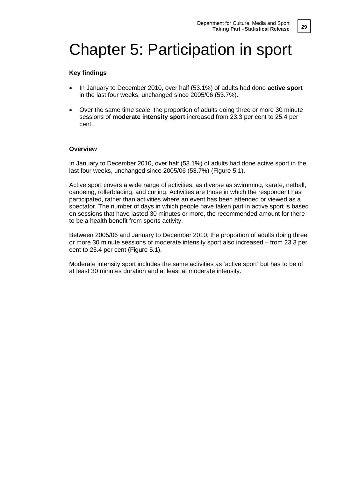# Chapter 5: Participation in sport

# **Key findings**

- In January to December 2010, over half (53.1%) of adults had done **active sport** in the last four weeks, unchanged since 2005/06 (53.7%).
- Over the same time scale, the proportion of adults doing three or more 30 minute sessions of **moderate intensity sport** increased from 23.3 per cent to 25.4 per cent.

# **Overview**

In January to December 2010, over half (53.1%) of adults had done active sport in the last four weeks, unchanged since 2005/06 (53.7%) (Figure 5.1).

Active sport covers a wide range of activities, as diverse as swimming, karate, netball, canoeing, rollerblading, and curling. Activities are those in which the respondent has participated, rather than activities where an event has been attended or viewed as a spectator. The number of days in which people have taken part in active sport is based on sessions that have lasted 30 minutes or more, the recommended amount for there to be a health benefit from sports activity.

Between 2005/06 and January to December 2010, the proportion of adults doing three or more 30 minute sessions of moderate intensity sport also increased – from 23.3 per cent to 25.4 per cent (Figure 5.1).

Moderate intensity sport includes the same activities as 'active sport' but has to be of at least 30 minutes duration and at least at moderate intensity.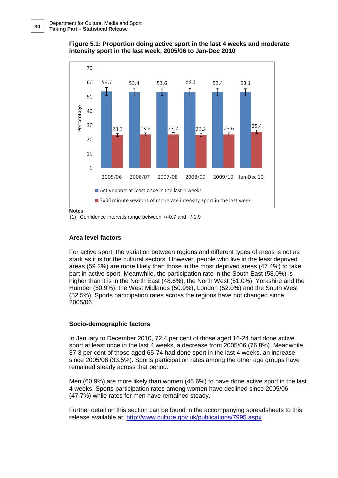## **Figure 5.1: Proportion doing active sport in the last 4 weeks and moderate intensity sport in the last week, 2005/06 to Jan-Dec 2010**



(1) Confidence intervals range between +/-0.7 and +/-1.9

### **Area level factors**

For active sport, the variation between regions and different types of areas is not as stark as it is for the cultural sectors. However, people who live in the least deprived areas (59.2%) are more likely than those in the most deprived areas (47.4%) to take part in active sport. Meanwhile, the participation rate in the South East (58.0%) is higher than it is in the North East (48.6%), the North West (51.0%), Yorkshire and the Humber (50.9%), the West Midlands (50.9%), London (52.0%) and the South West (52.5%). Sports participation rates across the regions have not changed since 2005/06.

### **Socio-demographic factors**

In January to December 2010, 72.4 per cent of those aged 16-24 had done active sport at least once in the last 4 weeks, a decrease from 2005/06 (76.8%). Meanwhile, 37.3 per cent of those aged 65-74 had done sport in the last 4 weeks, an increase since 2005/06 (33.5%). Sports participation rates among the other age groups have remained steady across that period.

Men (60.9%) are more likely than women (45.6%) to have done active sport in the last 4 weeks. Sports participation rates among women have declined since 2005/06 (47.7%) while rates for men have remained steady.

Further detail on this section can be found in the accompanying spreadsheets to this release available at: <http://www.culture.gov.uk/publications/7995.aspx>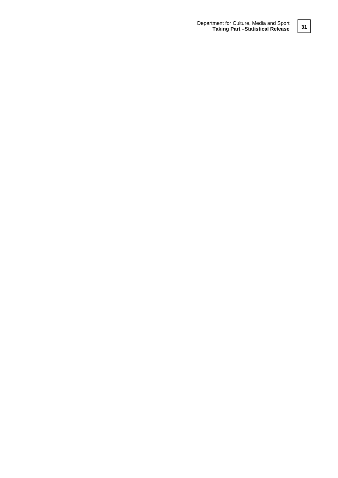Department for Culture, Media and Sport **Taking Part –Statistical Release 31**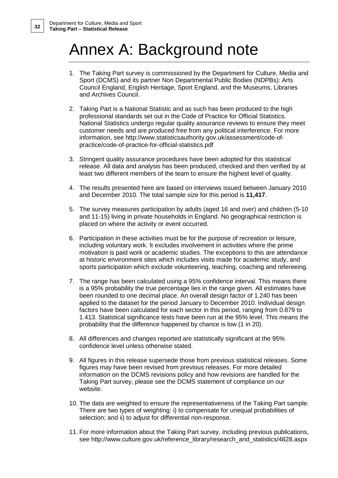# Annex A: Background note

- 1. The Taking Part survey is commissioned by the Department for Culture, Media and Sport (DCMS) and its partner Non Departmental Public Bodies (NDPBs): Arts Council England, English Heritage, Sport England, and the Museums, Libraries and Archives Council.
- 2. Taking Part is a National Statistic and as such has been produced to the high professional standards set out in the Code of Practice for Official Statistics. National Statistics undergo regular quality assurance reviews to ensure they meet customer needs and are produced free from any political interference. For more information, see [http://www.statisticsauthority.gov.uk/assessment/code-of](http://www.statisticsauthority.gov.uk/assessment/code-of-practice/code-of-practice-for-official-statistics.pdf)[practice/code-of-practice-for-official-statistics.pdf](http://www.statisticsauthority.gov.uk/assessment/code-of-practice/code-of-practice-for-official-statistics.pdf)
- 3. Stringent quality assurance procedures have been adopted for this statistical release. All data and analysis has been produced, checked and then verified by at least two different members of the team to ensure the highest level of quality.
- 4. The results presented here are based on interviews issued between January 2010 and December 2010. The total sample size for this period is **11,417**.
- 5. The survey measures participation by adults (aged 16 and over) and children (5-10 and 11-15) living in private households in England. No geographical restriction is placed on where the activity or event occurred.
- 6. Participation in these activities must be for the purpose of recreation or leisure, including voluntary work. It excludes involvement in activities where the prime motivation is paid work or academic studies. The exceptions to this are attendance at historic environment sites which includes visits made for academic study, and sports participation which exclude volunteering, teaching, coaching and refereeing.
- 7. The range has been calculated using a 95% confidence interval. This means there is a 95% probability the true percentage lies in the range given. All estimates have been rounded to one decimal place. An overall design factor of 1.240 has been applied to the dataset for the period January to December 2010. Individual design factors have been calculated for each sector in this period, ranging from 0.879 to 1.413. Statistical significance tests have been run at the 95% level. This means the probability that the difference happened by chance is low (1 in 20).
- 8. All differences and changes reported are statistically significant at the 95% confidence level unless otherwise stated.
- 9. All figures in this release supersede those from previous statistical releases. Some figures may have been revised from previous releases. For more detailed information on the DCMS revisions policy and how revisions are handled for the Taking Part survey, please see the DCMS statement of compliance on our website.
- 10. The data are weighted to ensure the representativeness of the Taking Part sample. There are two types of weighting: i) to compensate for unequal probabilities of selection; and ii) to adjust for differential non-response.
- 11. For more information about the Taking Part survey, including previous publications, see [http://www.culture.gov.uk/reference\\_library/research\\_and\\_statistics/4828.aspx](http://www.culture.gov.uk/reference_library/research_and_statistics/4828.aspx)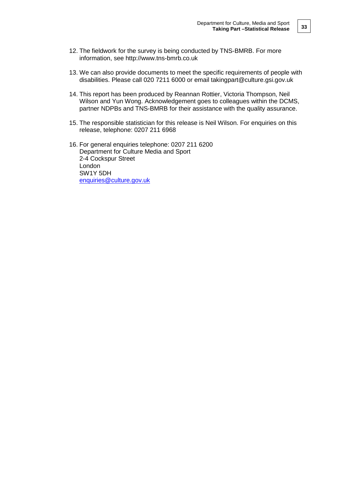- 12. The fieldwork for the survey is being conducted by TNS-BMRB. For more information, see [http://www.tns-bmrb.co.uk](http://www.tns-bmrb.co.uk/)
- 13. We can also provide documents to meet the specific requirements of people with disabilities. Please call 020 7211 6000 or email takingpart@culture.gsi.gov.uk
- 14. This report has been produced by Reannan Rottier, Victoria Thompson, Neil Wilson and Yun Wong. Acknowledgement goes to colleagues within the DCMS, partner NDPBs and TNS-BMRB for their assistance with the quality assurance.
- 15. The responsible statistician for this release is Neil Wilson. For enquiries on this release, telephone: 0207 211 6968
- 16. For general enquiries telephone: 0207 211 6200 Department for Culture Media and Sport 2-4 Cockspur Street London SW1Y 5DH [enquiries@culture.gov.uk](mailto:enquiries@culture.gov.uk)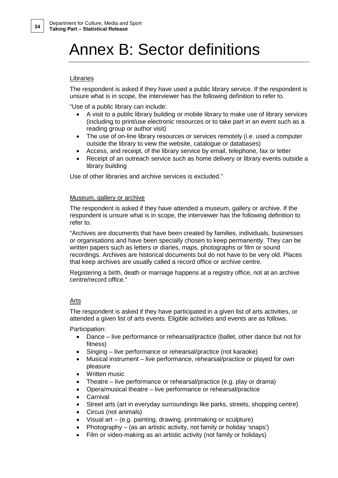# Annex B: Sector definitions

## Libraries

The respondent is asked if they have used a public library service. If the respondent is unsure what is in scope, the interviewer has the following definition to refer to.

"Use of a public library can include:

- A visit to a public library building or mobile library to make use of library services (including to print/use electronic resources or to take part in an event such as a reading group or author visit)
- The use of on-line library resources or services remotely (i.e. used a computer outside the library to view the website, catalogue or databases)
- Access, and receipt, of the library service by email, telephone, fax or letter
- Receipt of an outreach service such as home delivery or library events outside a library building

Use of other libraries and archive services is excluded."

#### Museum, gallery or archive

The respondent is asked if they have attended a museum, gallery or archive. If the respondent is unsure what is in scope, the interviewer has the following definition to refer to.

"Archives are documents that have been created by families, individuals, businesses or organisations and have been specially chosen to keep permanently. They can be written papers such as letters or diaries, maps, photographs or film or sound recordings. Archives are historical documents but do not have to be very old. Places that keep archives are usually called a record office or archive centre.

Registering a birth, death or marriage happens at a registry office, not at an archive centre/record office."

### Arts

The respondent is asked if they have participated in a given list of arts activities, or attended a given list of arts events. Eligible activities and events are as follows.

Participation:

- Dance live performance or rehearsal/practice (ballet, other dance but not for fitness)
- Singing live performance or rehearsal/practice (not karaoke)
- Musical instrument live performance, rehearsal/practice or played for own pleasure
- Written music
- Theatre live performance or rehearsal/practice (e.g. play or drama)
- Opera/musical theatre live performance or rehearsal/practice
- Carnival
- Street arts (art in everyday surroundings like parks, streets, shopping centre)
- Circus (not animals)
- Visual art (e.g. painting, drawing, printmaking or sculpture)
- Photography (as an artistic activity, not family or holiday 'snaps')
- Film or video-making as an artistic activity (not family or holidays)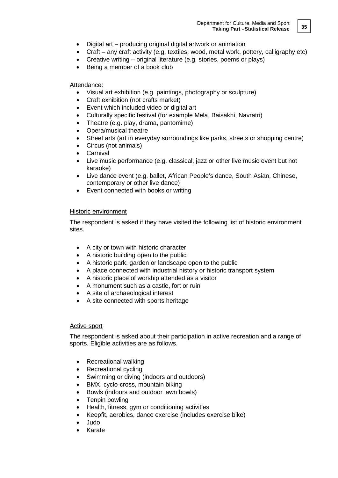- Digital art producing original digital artwork or animation
- Craft any craft activity (e.g. textiles, wood, metal work, pottery, calligraphy etc)
- Creative writing original literature (e.g. stories, poems or plays)
- Being a member of a book club

Attendance:

- Visual art exhibition (e.g. paintings, photography or sculpture)
- Craft exhibition (not crafts market)
- Event which included video or digital art
- Culturally specific festival (for example Mela, Baisakhi, Navratri)
- Theatre (e.g. play, drama, pantomime)
- Opera/musical theatre
- Street arts (art in everyday surroundings like parks, streets or shopping centre)
- Circus (not animals)
- Carnival
- Live music performance (e.g. classical, jazz or other live music event but not karaoke)
- Live dance event (e.g. ballet, African People's dance, South Asian, Chinese, contemporary or other live dance)
- Event connected with books or writing

### Historic environment

The respondent is asked if they have visited the following list of historic environment sites.

- A city or town with historic character
- A historic building open to the public
- A historic park, garden or landscape open to the public
- A place connected with industrial history or historic transport system
- A historic place of worship attended as a visitor
- A monument such as a castle, fort or ruin
- A site of archaeological interest
- A site connected with sports heritage

### Active sport

The respondent is asked about their participation in active recreation and a range of sports. Eligible activities are as follows.

- Recreational walking
- Recreational cycling
- Swimming or diving (indoors and outdoors)
- BMX, cyclo-cross, mountain biking
- Bowls (indoors and outdoor lawn bowls)
- Tenpin bowling
- Health, fitness, gym or conditioning activities
- Keepfit, aerobics, dance exercise (includes exercise bike)
- Judo
- Karate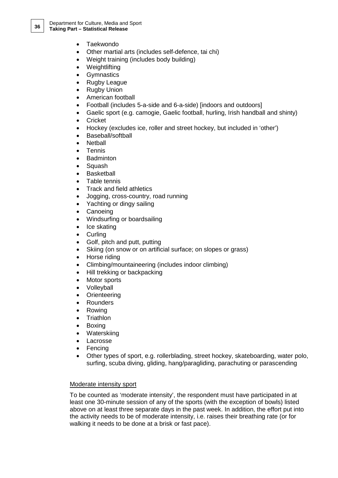- Taekwondo
- Other martial arts (includes self-defence, tai chi)
- Weight training (includes body building)
- Weightlifting
- Gymnastics
- Rugby League
- Rugby Union
- American football
- Football (includes 5-a-side and 6-a-side) [indoors and outdoors]
- Gaelic sport (e.g. camogie, Gaelic football, hurling, Irish handball and shinty)
- Cricket
- Hockey (excludes ice, roller and street hockey, but included in 'other')
- Baseball/softball
- Netball
- Tennis
- Badminton
- Squash
- Basketball
- Table tennis
- Track and field athletics
- Jogging, cross-country, road running
- Yachting or dingy sailing
- Canoeing
- Windsurfing or boardsailing
- Ice skating
- Curling
- Golf, pitch and putt, putting
- Skiing (on snow or on artificial surface; on slopes or grass)
- Horse riding
- Climbing/mountaineering (includes indoor climbing)
- Hill trekking or backpacking
- Motor sports
- Volleyball
- Orienteering
- Rounders
- Rowing
- Triathlon
- Boxing
- Waterskiing
- Lacrosse
- Fencing
- Other types of sport, e.g. rollerblading, street hockey, skateboarding, water polo, surfing, scuba diving, gliding, hang/paragliding, parachuting or parascending

# Moderate intensity sport

To be counted as 'moderate intensity', the respondent must have participated in at least one 30-minute session of any of the sports (with the exception of bowls) listed above on at least three separate days in the past week. In addition, the effort put into the activity needs to be of moderate intensity, i.e. raises their breathing rate (or for walking it needs to be done at a brisk or fast pace).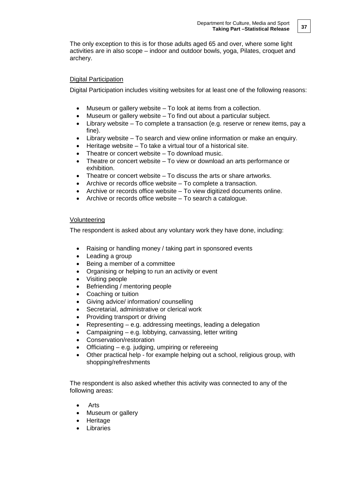The only exception to this is for those adults aged 65 and over, where some light activities are in also scope – indoor and outdoor bowls, yoga, Pilates, croquet and archery.

## Digital Participation

Digital Participation includes visiting websites for at least one of the following reasons:

- Museum or gallery website To look at items from a collection.
- Museum or gallery website To find out about a particular subject.
- Library website To complete a transaction (e.g. reserve or renew items, pay a fine).
- Library website To search and view online information or make an enquiry.
- Heritage website To take a virtual tour of a historical site.
- Theatre or concert website To download music.
- Theatre or concert website To view or download an arts performance or exhibition.
- Theatre or concert website To discuss the arts or share artworks.
- Archive or records office website To complete a transaction.
- Archive or records office website To view digitized documents online.
- Archive or records office website To search a catalogue.

### Volunteering

The respondent is asked about any voluntary work they have done, including:

- Raising or handling money / taking part in sponsored events
- Leading a group
- Being a member of a committee
- Organising or helping to run an activity or event
- Visiting people
- Befriending / mentoring people
- Coaching or tuition
- Giving advice/ information/ counselling
- Secretarial, administrative or clerical work
- Providing transport or driving
- Representing e.g. addressing meetings, leading a delegation
- Campaigning e.g. lobbying, canvassing, letter writing
- Conservation/restoration
- Officiating e.g. judging, umpiring or refereeing
- Other practical help for example helping out a school, religious group, with shopping/refreshments

The respondent is also asked whether this activity was connected to any of the following areas:

- Arts
- Museum or gallery
- Heritage
- Libraries